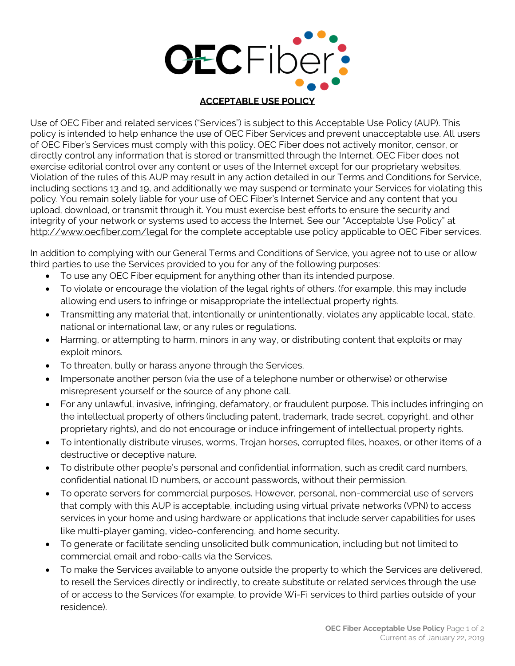

## **ACCEPTABLE USE POLICY**

Use of OEC Fiber and related services ("Services") is subject to this Acceptable Use Policy (AUP). This policy is intended to help enhance the use of OEC Fiber Services and prevent unacceptable use. All users of OEC Fiber's Services must comply with this policy. OEC Fiber does not actively monitor, censor, or directly control any information that is stored or transmitted through the Internet. OEC Fiber does not exercise editorial control over any content or uses of the Internet except for our proprietary websites. Violation of the rules of this AUP may result in any action detailed in our Terms and Conditions for Service, including sections 13 and 19, and additionally we may suspend or terminate your Services for violating this policy. You remain solely liable for your use of OEC Fiber's Internet Service and any content that you upload, download, or transmit through it. You must exercise best efforts to ensure the security and integrity of your network or systems used to access the Internet. See our "Acceptable Use Policy" at [http://www.oecfiber.com/l](http://www.oecfiber.com/)egal for the complete acceptable use policy applicable to OEC Fiber services.

In addition to complying with our General Terms and Conditions of Service, you agree not to use or allow third parties to use the Services provided to you for any of the following purposes:

- To use any OEC Fiber equipment for anything other than its intended purpose.
- To violate or encourage the violation of the legal rights of others. (for example, this may include allowing end users to infringe or misappropriate the intellectual property rights.
- Transmitting any material that, intentionally or unintentionally, violates any applicable local, state, national or international law, or any rules or regulations.
- Harming, or attempting to harm, minors in any way, or distributing content that exploits or may exploit minors.
- To threaten, bully or harass anyone through the Services,
- Impersonate another person (via the use of a telephone number or otherwise) or otherwise misrepresent yourself or the source of any phone call.
- For any unlawful, invasive, infringing, defamatory, or fraudulent purpose. This includes infringing on the intellectual property of others (including patent, trademark, trade secret, copyright, and other proprietary rights), and do not encourage or induce infringement of intellectual property rights.
- To intentionally distribute viruses, worms, Trojan horses, corrupted files, hoaxes, or other items of a destructive or deceptive nature.
- To distribute other people's personal and confidential information, such as credit card numbers, confidential national ID numbers, or account passwords, without their permission.
- To operate servers for commercial purposes. However, personal, non-commercial use of servers that comply with this AUP is acceptable, including using virtual private networks (VPN) to access services in your home and using hardware or applications that include server capabilities for uses like multi-player gaming, video-conferencing, and home security.
- To generate or facilitate sending unsolicited bulk communication, including but not limited to commercial email and robo-calls via the Services.
- To make the Services available to anyone outside the property to which the Services are delivered, to resell the Services directly or indirectly, to create substitute or related services through the use of or access to the Services (for example, to provide Wi-Fi services to third parties outside of your residence).